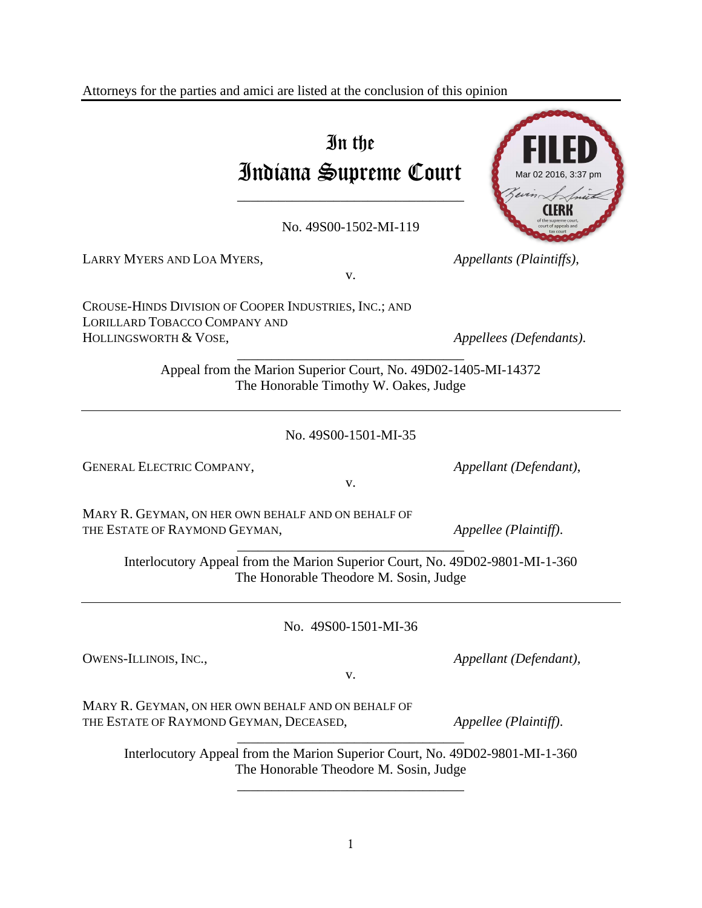Attorneys for the parties and amici are listed at the conclusion of this opinion

# In the Indiana Supreme Court

No. 49S00-1502-MI-119

v.

\_\_\_\_\_\_\_\_\_\_\_\_\_\_\_\_\_\_\_\_\_\_\_\_\_\_\_\_\_\_\_\_\_

LARRY MYERS AND LOA MYERS, *Appellants (Plaintiffs)*,

CROUSE-HINDS DIVISION OF COOPER INDUSTRIES, INC.; AND LORILLARD TOBACCO COMPANY AND

HOLLINGSWORTH & VOSE, *Appellees (Defendants)*.

Appeal from the Marion Superior Court, No. 49D02-1405-MI-14372 The Honorable Timothy W. Oakes, Judge

\_\_\_\_\_\_\_\_\_\_\_\_\_\_\_\_\_\_\_\_\_\_\_\_\_\_\_\_\_\_\_\_\_

No. 49S00-1501-MI-35

GENERAL ELECTRIC COMPANY, *Appellant (Defendant)*,

MARY R. GEYMAN, ON HER OWN BEHALF AND ON BEHALF OF THE ESTATE OF RAYMOND GEYMAN, *Appellee (Plaintiff)*.

Interlocutory Appeal from the Marion Superior Court, No. 49D02-9801-MI-1-360 The Honorable Theodore M. Sosin, Judge

\_\_\_\_\_\_\_\_\_\_\_\_\_\_\_\_\_\_\_\_\_\_\_\_\_\_\_\_\_\_\_\_\_

No. 49S00-1501-MI-36

OWENS-ILLINOIS, INC., *Appellant (Defendant),* 

v.

MARY R. GEYMAN, ON HER OWN BEHALF AND ON BEHALF OF THE ESTATE OF RAYMOND GEYMAN, DECEASED, *Appellee (Plaintiff)*.

\_\_\_\_\_\_\_\_\_\_\_\_\_\_\_\_\_\_\_\_\_\_\_\_\_\_\_\_\_\_\_\_\_ Interlocutory Appeal from the Marion Superior Court, No. 49D02-9801-MI-1-360 The Honorable Theodore M. Sosin, Judge

\_\_\_\_\_\_\_\_\_\_\_\_\_\_\_\_\_\_\_\_\_\_\_\_\_\_\_\_\_\_\_\_\_



v.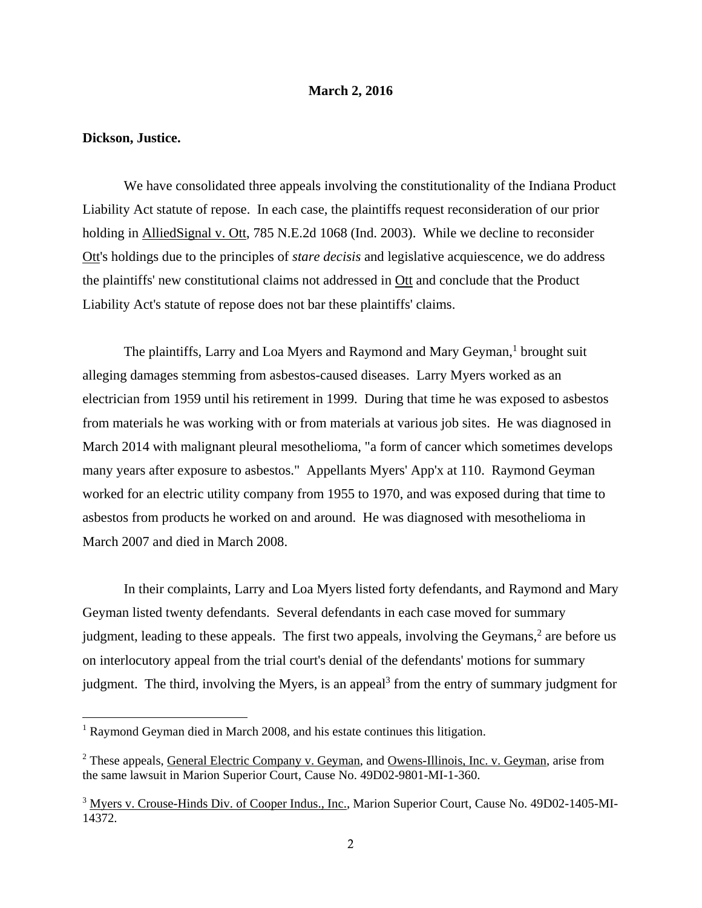#### **March 2, 2016**

# **Dickson, Justice.**

 We have consolidated three appeals involving the constitutionality of the Indiana Product Liability Act statute of repose. In each case, the plaintiffs request reconsideration of our prior holding in AlliedSignal v. Ott, 785 N.E.2d 1068 (Ind. 2003). While we decline to reconsider Ott's holdings due to the principles of *stare decisis* and legislative acquiescence, we do address the plaintiffs' new constitutional claims not addressed in Ott and conclude that the Product Liability Act's statute of repose does not bar these plaintiffs' claims.

The plaintiffs, Larry and Loa Myers and Raymond and Mary Geyman,<sup>1</sup> brought suit alleging damages stemming from asbestos-caused diseases. Larry Myers worked as an electrician from 1959 until his retirement in 1999. During that time he was exposed to asbestos from materials he was working with or from materials at various job sites. He was diagnosed in March 2014 with malignant pleural mesothelioma, "a form of cancer which sometimes develops many years after exposure to asbestos." Appellants Myers' App'x at 110. Raymond Geyman worked for an electric utility company from 1955 to 1970, and was exposed during that time to asbestos from products he worked on and around. He was diagnosed with mesothelioma in March 2007 and died in March 2008.

 In their complaints, Larry and Loa Myers listed forty defendants, and Raymond and Mary Geyman listed twenty defendants. Several defendants in each case moved for summary judgment, leading to these appeals. The first two appeals, involving the Geymans, $2$  are before us on interlocutory appeal from the trial court's denial of the defendants' motions for summary judgment. The third, involving the Myers, is an appeal<sup>3</sup> from the entry of summary judgment for

<sup>&</sup>lt;sup>1</sup> Raymond Geyman died in March 2008, and his estate continues this litigation.

<sup>&</sup>lt;sup>2</sup> These appeals, General Electric Company v. Geyman, and Owens-Illinois, Inc. v. Geyman, arise from the same lawsuit in Marion Superior Court, Cause No. 49D02-9801-MI-1-360.

<sup>&</sup>lt;sup>3</sup> Myers v. Crouse-Hinds Div. of Cooper Indus., Inc., Marion Superior Court, Cause No. 49D02-1405-MI-14372.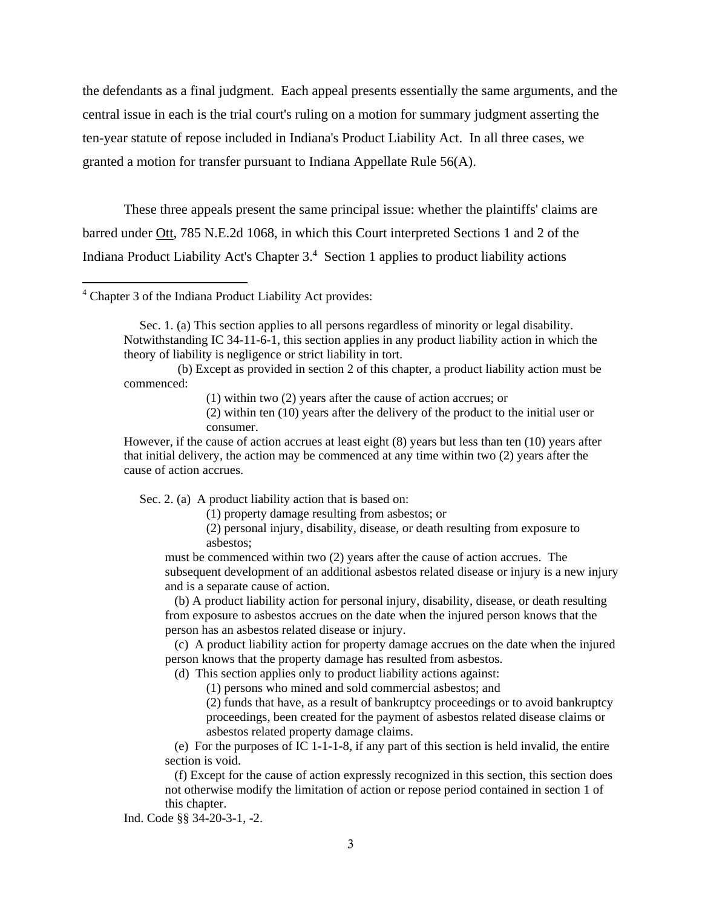the defendants as a final judgment. Each appeal presents essentially the same arguments, and the central issue in each is the trial court's ruling on a motion for summary judgment asserting the ten-year statute of repose included in Indiana's Product Liability Act. In all three cases, we granted a motion for transfer pursuant to Indiana Appellate Rule 56(A).

 These three appeals present the same principal issue: whether the plaintiffs' claims are barred under Ott, 785 N.E.2d 1068, in which this Court interpreted Sections 1 and 2 of the Indiana Product Liability Act's Chapter 3.<sup>4</sup> Section 1 applies to product liability actions

 (b) Except as provided in section 2 of this chapter, a product liability action must be commenced:

(1) within two (2) years after the cause of action accrues; or

(2) within ten (10) years after the delivery of the product to the initial user or consumer.

However, if the cause of action accrues at least eight (8) years but less than ten (10) years after that initial delivery, the action may be commenced at any time within two (2) years after the cause of action accrues.

Sec. 2. (a) A product liability action that is based on:

(1) property damage resulting from asbestos; or

(2) personal injury, disability, disease, or death resulting from exposure to asbestos;

must be commenced within two (2) years after the cause of action accrues. The subsequent development of an additional asbestos related disease or injury is a new injury and is a separate cause of action.

 (b) A product liability action for personal injury, disability, disease, or death resulting from exposure to asbestos accrues on the date when the injured person knows that the person has an asbestos related disease or injury.

 (c) A product liability action for property damage accrues on the date when the injured person knows that the property damage has resulted from asbestos.

(d) This section applies only to product liability actions against:

(1) persons who mined and sold commercial asbestos; and

(2) funds that have, as a result of bankruptcy proceedings or to avoid bankruptcy proceedings, been created for the payment of asbestos related disease claims or asbestos related property damage claims.

 (e) For the purposes of IC 1-1-1-8, if any part of this section is held invalid, the entire section is void.

 (f) Except for the cause of action expressly recognized in this section, this section does not otherwise modify the limitation of action or repose period contained in section 1 of this chapter.

Ind. Code §§ 34-20-3-1, -2.

<sup>4</sup> Chapter 3 of the Indiana Product Liability Act provides:

Sec. 1. (a) This section applies to all persons regardless of minority or legal disability. Notwithstanding IC 34-11-6-1, this section applies in any product liability action in which the theory of liability is negligence or strict liability in tort.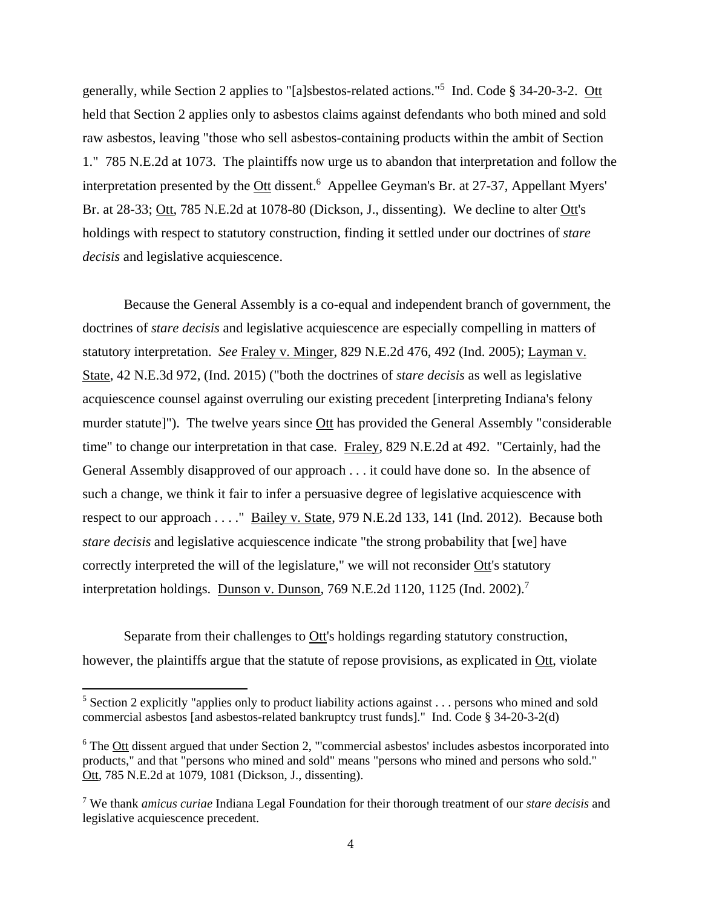generally, while Section 2 applies to "[a]sbestos-related actions."<sup>5</sup> Ind. Code § 34-20-3-2. Ott held that Section 2 applies only to asbestos claims against defendants who both mined and sold raw asbestos, leaving "those who sell asbestos-containing products within the ambit of Section 1." 785 N.E.2d at 1073. The plaintiffs now urge us to abandon that interpretation and follow the interpretation presented by the Ott dissent.<sup>6</sup> Appellee Geyman's Br. at 27-37, Appellant Myers' Br. at 28-33; Ott, 785 N.E.2d at 1078-80 (Dickson, J., dissenting). We decline to alter Ott's holdings with respect to statutory construction, finding it settled under our doctrines of *stare decisis* and legislative acquiescence.

 Because the General Assembly is a co-equal and independent branch of government, the doctrines of *stare decisis* and legislative acquiescence are especially compelling in matters of statutory interpretation. *See* Fraley v. Minger, 829 N.E.2d 476, 492 (Ind. 2005); Layman v. State, 42 N.E.3d 972, (Ind. 2015) ("both the doctrines of *stare decisis* as well as legislative acquiescence counsel against overruling our existing precedent [interpreting Indiana's felony murder statute]"). The twelve years since Ott has provided the General Assembly "considerable time" to change our interpretation in that case. Fraley, 829 N.E.2d at 492. "Certainly, had the General Assembly disapproved of our approach . . . it could have done so. In the absence of such a change, we think it fair to infer a persuasive degree of legislative acquiescence with respect to our approach . . . ." Bailey v. State, 979 N.E.2d 133, 141 (Ind. 2012). Because both *stare decisis* and legislative acquiescence indicate "the strong probability that [we] have correctly interpreted the will of the legislature," we will not reconsider Ott's statutory interpretation holdings. Dunson v. Dunson, 769 N.E.2d 1120, 1125 (Ind. 2002).<sup>7</sup>

 Separate from their challenges to Ott's holdings regarding statutory construction, however, the plaintiffs argue that the statute of repose provisions, as explicated in Ott, violate

<sup>&</sup>lt;sup>5</sup> Section 2 explicitly "applies only to product liability actions against  $\dots$  persons who mined and sold commercial asbestos [and asbestos-related bankruptcy trust funds]." Ind. Code § 34-20-3-2(d)

 $6$  The  $_{\text{Ott}}$  dissent argued that under Section 2, "'commercial asbestos' includes asbestos incorporated into products," and that "persons who mined and sold" means "persons who mined and persons who sold." Ott, 785 N.E.2d at 1079, 1081 (Dickson, J., dissenting).

<sup>7</sup> We thank *amicus curiae* Indiana Legal Foundation for their thorough treatment of our *stare decisis* and legislative acquiescence precedent.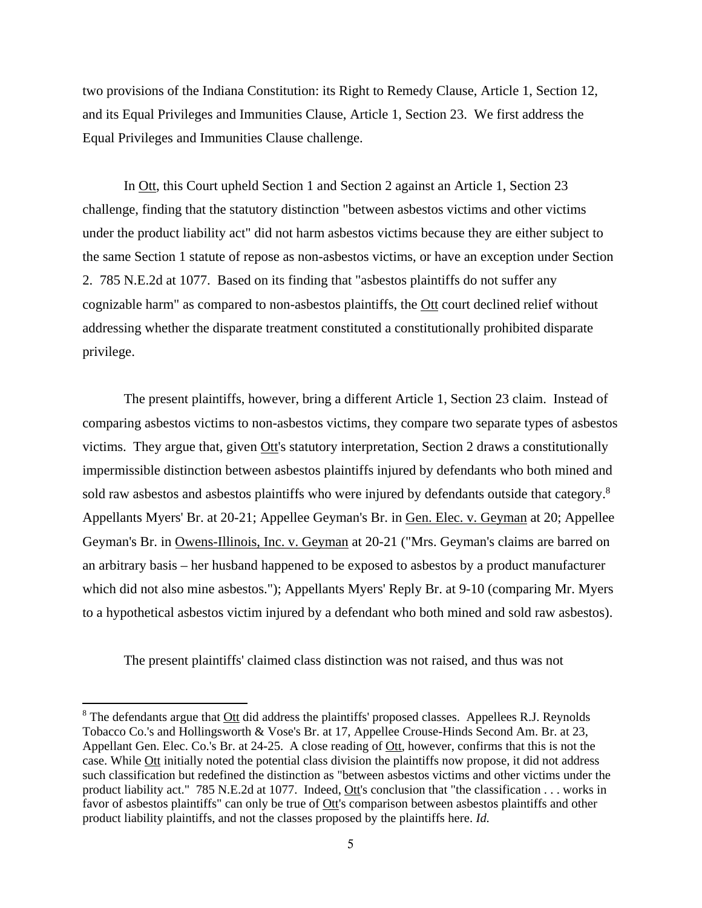two provisions of the Indiana Constitution: its Right to Remedy Clause, Article 1, Section 12, and its Equal Privileges and Immunities Clause, Article 1, Section 23. We first address the Equal Privileges and Immunities Clause challenge.

 In Ott, this Court upheld Section 1 and Section 2 against an Article 1, Section 23 challenge, finding that the statutory distinction "between asbestos victims and other victims under the product liability act" did not harm asbestos victims because they are either subject to the same Section 1 statute of repose as non-asbestos victims, or have an exception under Section 2. 785 N.E.2d at 1077. Based on its finding that "asbestos plaintiffs do not suffer any cognizable harm" as compared to non-asbestos plaintiffs, the Ott court declined relief without addressing whether the disparate treatment constituted a constitutionally prohibited disparate privilege.

 The present plaintiffs, however, bring a different Article 1, Section 23 claim. Instead of comparing asbestos victims to non-asbestos victims, they compare two separate types of asbestos victims. They argue that, given Ott's statutory interpretation, Section 2 draws a constitutionally impermissible distinction between asbestos plaintiffs injured by defendants who both mined and sold raw asbestos and asbestos plaintiffs who were injured by defendants outside that category.<sup>8</sup> Appellants Myers' Br. at 20-21; Appellee Geyman's Br. in Gen. Elec. v. Geyman at 20; Appellee Geyman's Br. in Owens-Illinois, Inc. v. Geyman at 20-21 ("Mrs. Geyman's claims are barred on an arbitrary basis – her husband happened to be exposed to asbestos by a product manufacturer which did not also mine asbestos."); Appellants Myers' Reply Br. at 9-10 (comparing Mr. Myers to a hypothetical asbestos victim injured by a defendant who both mined and sold raw asbestos).

The present plaintiffs' claimed class distinction was not raised, and thus was not

 $8$  The defendants argue that  $Out$  did address the plaintiffs' proposed classes. Appellees R.J. Reynolds</u> Tobacco Co.'s and Hollingsworth & Vose's Br. at 17, Appellee Crouse-Hinds Second Am. Br. at 23, Appellant Gen. Elec. Co.'s Br. at 24-25. A close reading of Ott, however, confirms that this is not the case. While Ott initially noted the potential class division the plaintiffs now propose, it did not address such classification but redefined the distinction as "between asbestos victims and other victims under the product liability act." 785 N.E.2d at 1077. Indeed, Ott's conclusion that "the classification . . . works in favor of asbestos plaintiffs" can only be true of Ott's comparison between asbestos plaintiffs and other product liability plaintiffs, and not the classes proposed by the plaintiffs here. *Id.*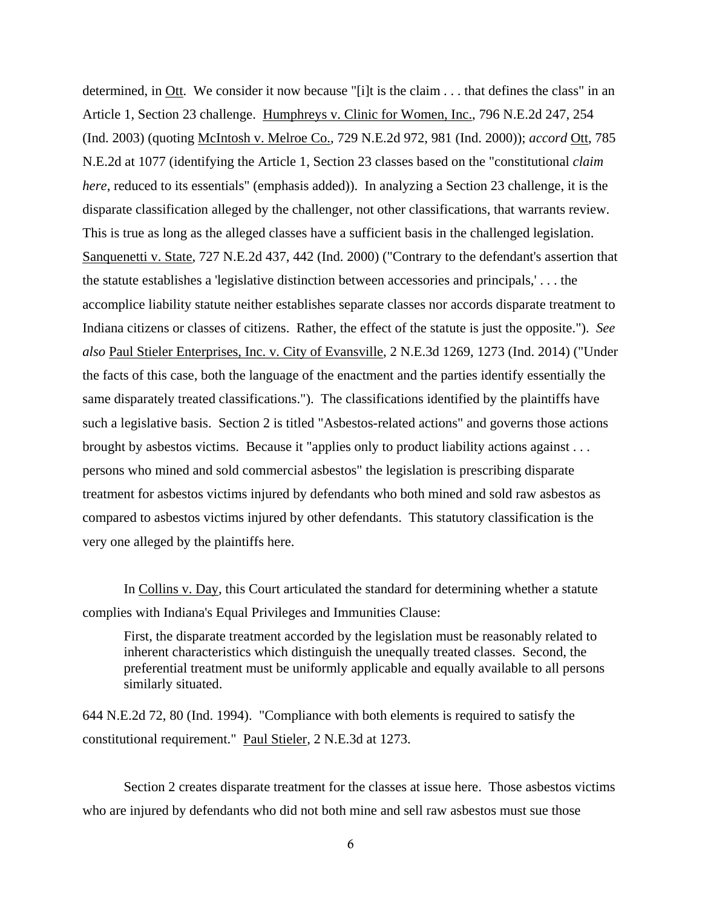determined, in Ott. We consider it now because "[i]t is the claim . . . that defines the class" in an Article 1, Section 23 challenge. Humphreys v. Clinic for Women, Inc., 796 N.E.2d 247, 254 (Ind. 2003) (quoting McIntosh v. Melroe Co., 729 N.E.2d 972, 981 (Ind. 2000)); *accord* Ott, 785 N.E.2d at 1077 (identifying the Article 1, Section 23 classes based on the "constitutional *claim here*, reduced to its essentials" (emphasis added)). In analyzing a Section 23 challenge, it is the disparate classification alleged by the challenger, not other classifications, that warrants review. This is true as long as the alleged classes have a sufficient basis in the challenged legislation. Sanquenetti v. State, 727 N.E.2d 437, 442 (Ind. 2000) ("Contrary to the defendant's assertion that the statute establishes a 'legislative distinction between accessories and principals,' . . . the accomplice liability statute neither establishes separate classes nor accords disparate treatment to Indiana citizens or classes of citizens. Rather, the effect of the statute is just the opposite."). *See also* Paul Stieler Enterprises, Inc. v. City of Evansville, 2 N.E.3d 1269, 1273 (Ind. 2014) ("Under the facts of this case, both the language of the enactment and the parties identify essentially the same disparately treated classifications."). The classifications identified by the plaintiffs have such a legislative basis. Section 2 is titled "Asbestos-related actions" and governs those actions brought by asbestos victims. Because it "applies only to product liability actions against . . . persons who mined and sold commercial asbestos" the legislation is prescribing disparate treatment for asbestos victims injured by defendants who both mined and sold raw asbestos as compared to asbestos victims injured by other defendants. This statutory classification is the very one alleged by the plaintiffs here.

 In Collins v. Day, this Court articulated the standard for determining whether a statute complies with Indiana's Equal Privileges and Immunities Clause:

 First, the disparate treatment accorded by the legislation must be reasonably related to inherent characteristics which distinguish the unequally treated classes. Second, the preferential treatment must be uniformly applicable and equally available to all persons similarly situated.

644 N.E.2d 72, 80 (Ind. 1994). "Compliance with both elements is required to satisfy the constitutional requirement." Paul Stieler, 2 N.E.3d at 1273.

 Section 2 creates disparate treatment for the classes at issue here. Those asbestos victims who are injured by defendants who did not both mine and sell raw asbestos must sue those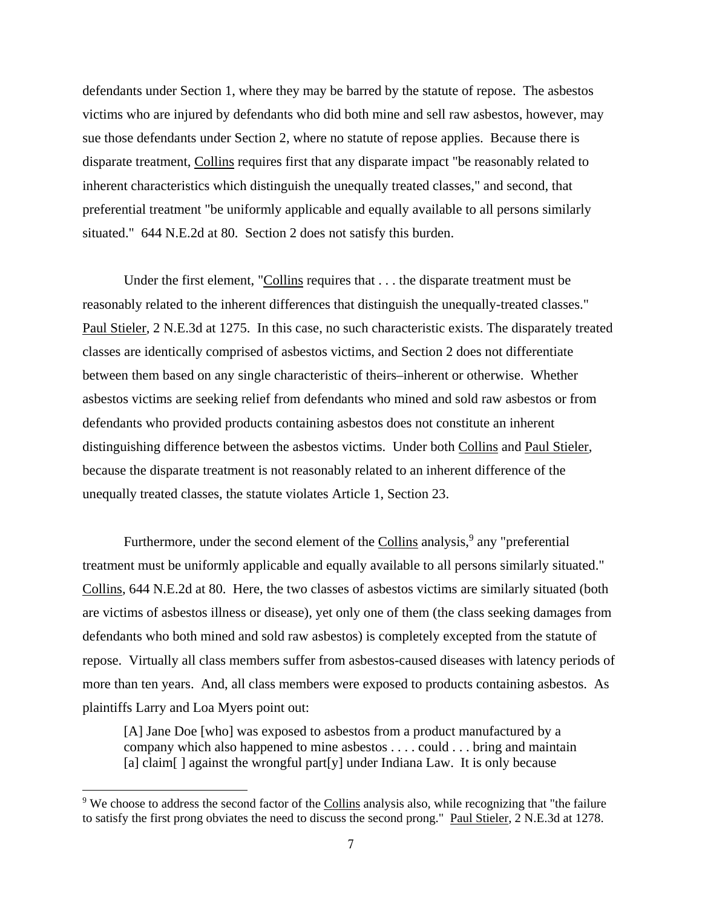defendants under Section 1, where they may be barred by the statute of repose. The asbestos victims who are injured by defendants who did both mine and sell raw asbestos, however, may sue those defendants under Section 2, where no statute of repose applies. Because there is disparate treatment, Collins requires first that any disparate impact "be reasonably related to inherent characteristics which distinguish the unequally treated classes," and second, that preferential treatment "be uniformly applicable and equally available to all persons similarly situated." 644 N.E.2d at 80. Section 2 does not satisfy this burden.

 Under the first element, "Collins requires that . . . the disparate treatment must be reasonably related to the inherent differences that distinguish the unequally-treated classes." Paul Stieler, 2 N.E.3d at 1275. In this case, no such characteristic exists. The disparately treated classes are identically comprised of asbestos victims, and Section 2 does not differentiate between them based on any single characteristic of theirs–inherent or otherwise. Whether asbestos victims are seeking relief from defendants who mined and sold raw asbestos or from defendants who provided products containing asbestos does not constitute an inherent distinguishing difference between the asbestos victims. Under both Collins and Paul Stieler, because the disparate treatment is not reasonably related to an inherent difference of the unequally treated classes, the statute violates Article 1, Section 23.

Furthermore, under the second element of the Collins analysis,<sup>9</sup> any "preferential treatment must be uniformly applicable and equally available to all persons similarly situated." Collins, 644 N.E.2d at 80. Here, the two classes of asbestos victims are similarly situated (both are victims of asbestos illness or disease), yet only one of them (the class seeking damages from defendants who both mined and sold raw asbestos) is completely excepted from the statute of repose. Virtually all class members suffer from asbestos-caused diseases with latency periods of more than ten years. And, all class members were exposed to products containing asbestos. As plaintiffs Larry and Loa Myers point out:

[A] Jane Doe [who] was exposed to asbestos from a product manufactured by a company which also happened to mine asbestos . . . . could . . . bring and maintain [a] claim  $\lceil$ ] against the wrongful part  $\lceil y \rceil$  under Indiana Law. It is only because

<sup>&</sup>lt;sup>9</sup> We choose to address the second factor of the Collins analysis also, while recognizing that "the failure" to satisfy the first prong obviates the need to discuss the second prong." Paul Stieler, 2 N.E.3d at 1278.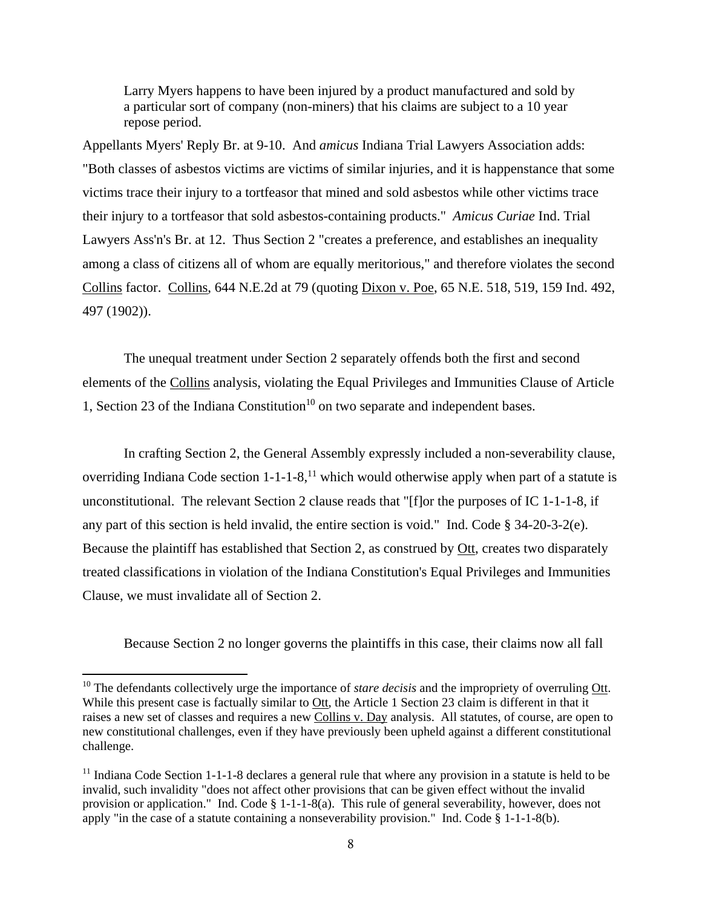Larry Myers happens to have been injured by a product manufactured and sold by a particular sort of company (non-miners) that his claims are subject to a 10 year repose period.

Appellants Myers' Reply Br. at 9-10. And *amicus* Indiana Trial Lawyers Association adds: "Both classes of asbestos victims are victims of similar injuries, and it is happenstance that some victims trace their injury to a tortfeasor that mined and sold asbestos while other victims trace their injury to a tortfeasor that sold asbestos-containing products." *Amicus Curiae* Ind. Trial Lawyers Ass'n's Br. at 12. Thus Section 2 "creates a preference, and establishes an inequality among a class of citizens all of whom are equally meritorious," and therefore violates the second Collins factor. Collins, 644 N.E.2d at 79 (quoting Dixon v. Poe, 65 N.E. 518, 519, 159 Ind. 492, 497 (1902)).

 The unequal treatment under Section 2 separately offends both the first and second elements of the Collins analysis, violating the Equal Privileges and Immunities Clause of Article 1, Section 23 of the Indiana Constitution<sup>10</sup> on two separate and independent bases.

 In crafting Section 2, the General Assembly expressly included a non-severability clause, overriding Indiana Code section  $1-1-1-8$ , which would otherwise apply when part of a statute is unconstitutional. The relevant Section 2 clause reads that "[f]or the purposes of IC 1-1-1-8, if any part of this section is held invalid, the entire section is void." Ind. Code § 34-20-3-2(e). Because the plaintiff has established that Section 2, as construed by Ott, creates two disparately treated classifications in violation of the Indiana Constitution's Equal Privileges and Immunities Clause, we must invalidate all of Section 2.

Because Section 2 no longer governs the plaintiffs in this case, their claims now all fall

<sup>&</sup>lt;sup>10</sup> The defendants collectively urge the importance of *stare decisis* and the impropriety of overruling Ott. While this present case is factually similar to Ott, the Article 1 Section 23 claim is different in that it raises a new set of classes and requires a new Collins v. Day analysis. All statutes, of course, are open to new constitutional challenges, even if they have previously been upheld against a different constitutional challenge.

 $11$  Indiana Code Section 1-1-1-8 declares a general rule that where any provision in a statute is held to be invalid, such invalidity "does not affect other provisions that can be given effect without the invalid provision or application." Ind. Code  $\S$  1-1-1-8(a). This rule of general severability, however, does not apply "in the case of a statute containing a nonseverability provision." Ind. Code § 1-1-1-8(b).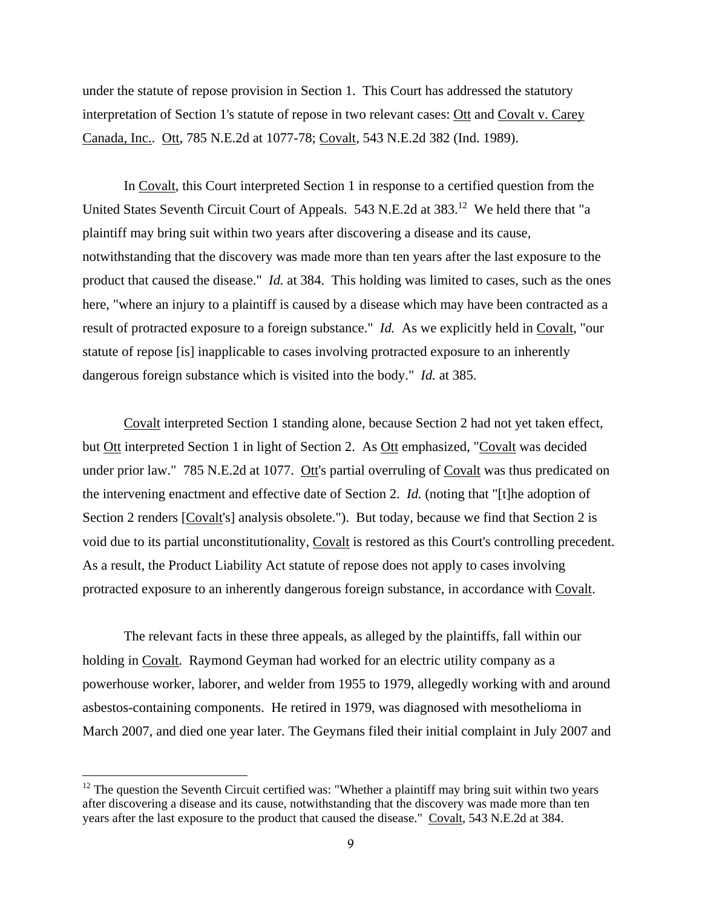under the statute of repose provision in Section 1. This Court has addressed the statutory interpretation of Section 1's statute of repose in two relevant cases: Ott and Covalt v. Carey Canada, Inc.. Ott, 785 N.E.2d at 1077-78; Covalt, 543 N.E.2d 382 (Ind. 1989).

In Covalt, this Court interpreted Section 1 in response to a certified question from the United States Seventh Circuit Court of Appeals. 543 N.E.2d at 383.<sup>12</sup> We held there that "a plaintiff may bring suit within two years after discovering a disease and its cause, notwithstanding that the discovery was made more than ten years after the last exposure to the product that caused the disease." *Id.* at 384. This holding was limited to cases, such as the ones here, "where an injury to a plaintiff is caused by a disease which may have been contracted as a result of protracted exposure to a foreign substance." *Id.* As we explicitly held in Covalt, "our statute of repose [is] inapplicable to cases involving protracted exposure to an inherently dangerous foreign substance which is visited into the body." *Id.* at 385.

Covalt interpreted Section 1 standing alone, because Section 2 had not yet taken effect, but Ott interpreted Section 1 in light of Section 2. As Ott emphasized, "Covalt was decided under prior law." 785 N.E.2d at 1077. Ott's partial overruling of Covalt was thus predicated on the intervening enactment and effective date of Section 2. *Id.* (noting that "[t]he adoption of Section 2 renders [Covalt's] analysis obsolete."). But today, because we find that Section 2 is void due to its partial unconstitutionality, Covalt is restored as this Court's controlling precedent. As a result, the Product Liability Act statute of repose does not apply to cases involving protracted exposure to an inherently dangerous foreign substance, in accordance with Covalt.

The relevant facts in these three appeals, as alleged by the plaintiffs, fall within our holding in Covalt. Raymond Geyman had worked for an electric utility company as a powerhouse worker, laborer, and welder from 1955 to 1979, allegedly working with and around asbestos-containing components. He retired in 1979, was diagnosed with mesothelioma in March 2007, and died one year later. The Geymans filed their initial complaint in July 2007 and

 $12$  The question the Seventh Circuit certified was: "Whether a plaintiff may bring suit within two years after discovering a disease and its cause, notwithstanding that the discovery was made more than ten years after the last exposure to the product that caused the disease." Covalt, 543 N.E.2d at 384.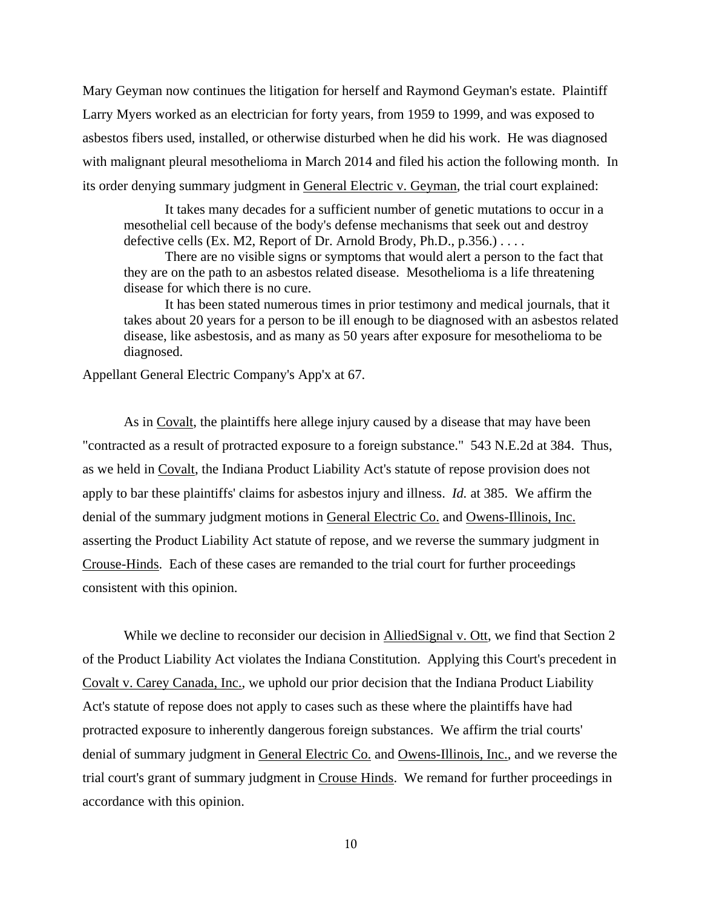Mary Geyman now continues the litigation for herself and Raymond Geyman's estate. Plaintiff Larry Myers worked as an electrician for forty years, from 1959 to 1999, and was exposed to asbestos fibers used, installed, or otherwise disturbed when he did his work. He was diagnosed with malignant pleural mesothelioma in March 2014 and filed his action the following month. In its order denying summary judgment in General Electric v. Geyman, the trial court explained:

 It takes many decades for a sufficient number of genetic mutations to occur in a mesothelial cell because of the body's defense mechanisms that seek out and destroy defective cells (Ex. M2, Report of Dr. Arnold Brody, Ph.D.,  $p.356$ .) . . . .

 There are no visible signs or symptoms that would alert a person to the fact that they are on the path to an asbestos related disease. Mesothelioma is a life threatening disease for which there is no cure.

 It has been stated numerous times in prior testimony and medical journals, that it takes about 20 years for a person to be ill enough to be diagnosed with an asbestos related disease, like asbestosis, and as many as 50 years after exposure for mesothelioma to be diagnosed.

Appellant General Electric Company's App'x at 67.

 As in Covalt, the plaintiffs here allege injury caused by a disease that may have been "contracted as a result of protracted exposure to a foreign substance." 543 N.E.2d at 384. Thus, as we held in Covalt, the Indiana Product Liability Act's statute of repose provision does not apply to bar these plaintiffs' claims for asbestos injury and illness. *Id.* at 385. We affirm the denial of the summary judgment motions in General Electric Co. and Owens-Illinois, Inc. asserting the Product Liability Act statute of repose, and we reverse the summary judgment in Crouse-Hinds. Each of these cases are remanded to the trial court for further proceedings consistent with this opinion.

While we decline to reconsider our decision in AlliedSignal v. Ott, we find that Section 2 of the Product Liability Act violates the Indiana Constitution. Applying this Court's precedent in Covalt v. Carey Canada, Inc., we uphold our prior decision that the Indiana Product Liability Act's statute of repose does not apply to cases such as these where the plaintiffs have had protracted exposure to inherently dangerous foreign substances. We affirm the trial courts' denial of summary judgment in General Electric Co. and Owens-Illinois, Inc., and we reverse the trial court's grant of summary judgment in Crouse Hinds. We remand for further proceedings in accordance with this opinion.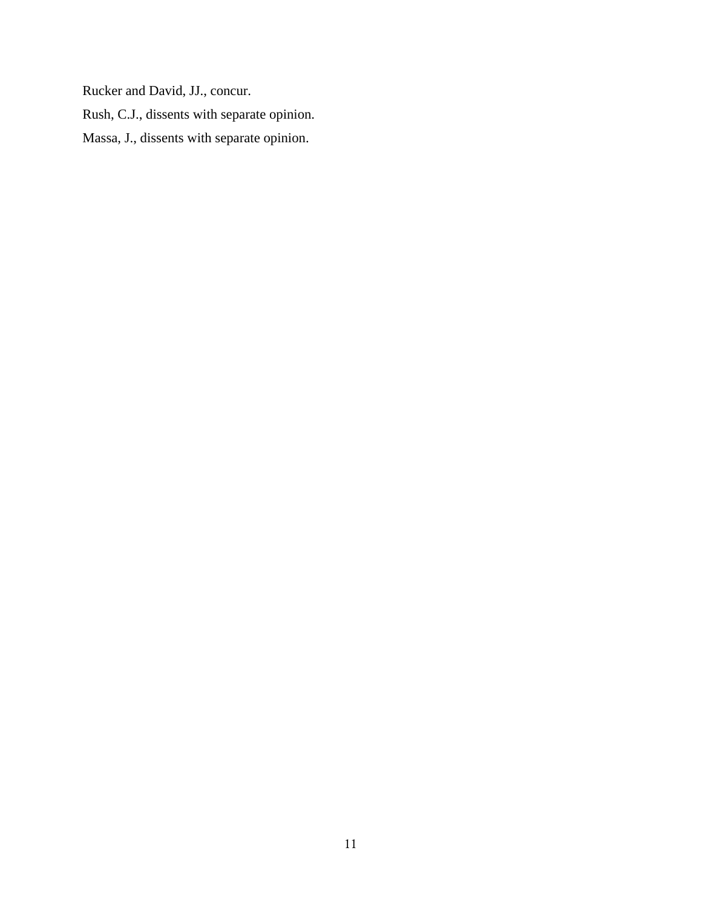Rucker and David, JJ., concur.

Rush, C.J., dissents with separate opinion.

Massa, J., dissents with separate opinion.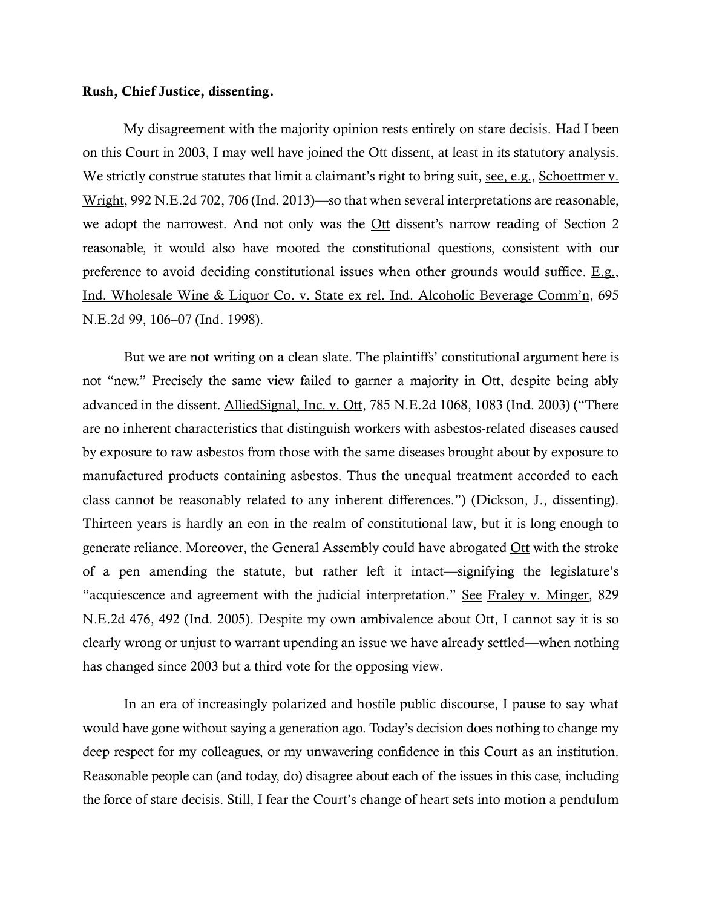## **Rush, Chief Justice, dissenting.**

My disagreement with the majority opinion rests entirely on stare decisis. Had I been on this Court in 2003, I may well have joined the Ott dissent, at least in its statutory analysis. We strictly construe statutes that limit a claimant's right to bring suit, see, e.g., Schoettmer v. Wright, 992 N.E.2d 702, 706 (Ind. 2013)—so that when several interpretations are reasonable, we adopt the narrowest. And not only was the <u>Ott</u> dissent's narrow reading of Section 2 reasonable, it would also have mooted the constitutional questions, consistent with our preference to avoid deciding constitutional issues when other grounds would suffice. E.g., Ind. Wholesale Wine & Liquor Co. v. State ex rel. Ind. Alcoholic Beverage Comm'n, 695 N.E.2d 99, 106–07 (Ind. 1998).

But we are not writing on a clean slate. The plaintiffs' constitutional argument here is not "new." Precisely the same view failed to garner a majority in <u>Ott</u>, despite being ably advanced in the dissent. AlliedSignal, Inc. v. Ott, 785 N.E.2d 1068, 1083 (Ind. 2003) ("There are no inherent characteristics that distinguish workers with asbestos-related diseases caused by exposure to raw asbestos from those with the same diseases brought about by exposure to manufactured products containing asbestos. Thus the unequal treatment accorded to each class cannot be reasonably related to any inherent differences.") (Dickson, J., dissenting). Thirteen years is hardly an eon in the realm of constitutional law, but it is long enough to generate reliance. Moreover, the General Assembly could have abrogated Ott with the stroke of a pen amending the statute, but rather left it intact—signifying the legislature's "acquiescence and agreement with the judicial interpretation." See Fraley v. Minger, 829 N.E.2d 476, 492 (Ind. 2005). Despite my own ambivalence about Ott, I cannot say it is so clearly wrong or unjust to warrant upending an issue we have already settled—when nothing has changed since 2003 but a third vote for the opposing view.

In an era of increasingly polarized and hostile public discourse, I pause to say what would have gone without saying a generation ago. Today's decision does nothing to change my deep respect for my colleagues, or my unwavering confidence in this Court as an institution. Reasonable people can (and today, do) disagree about each of the issues in this case, including the force of stare decisis. Still, I fear the Court's change of heart sets into motion a pendulum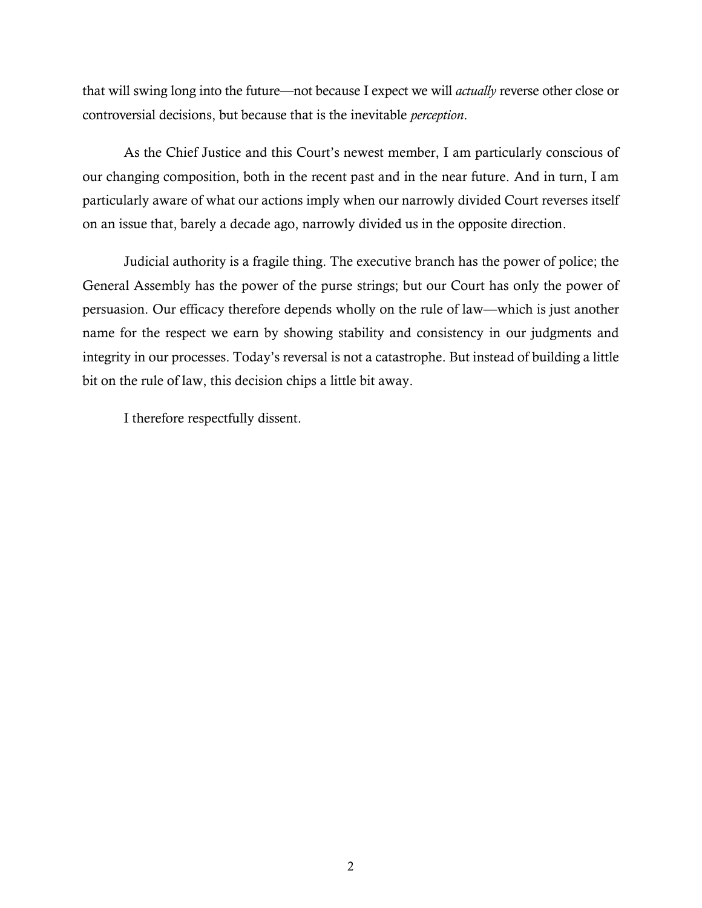that will swing long into the future—not because I expect we will *actually* reverse other close or controversial decisions, but because that is the inevitable *perception*.

As the Chief Justice and this Court's newest member, I am particularly conscious of our changing composition, both in the recent past and in the near future. And in turn, I am particularly aware of what our actions imply when our narrowly divided Court reverses itself on an issue that, barely a decade ago, narrowly divided us in the opposite direction.

Judicial authority is a fragile thing. The executive branch has the power of police; the General Assembly has the power of the purse strings; but our Court has only the power of persuasion. Our efficacy therefore depends wholly on the rule of law—which is just another name for the respect we earn by showing stability and consistency in our judgments and integrity in our processes. Today's reversal is not a catastrophe. But instead of building a little bit on the rule of law, this decision chips a little bit away.

I therefore respectfully dissent.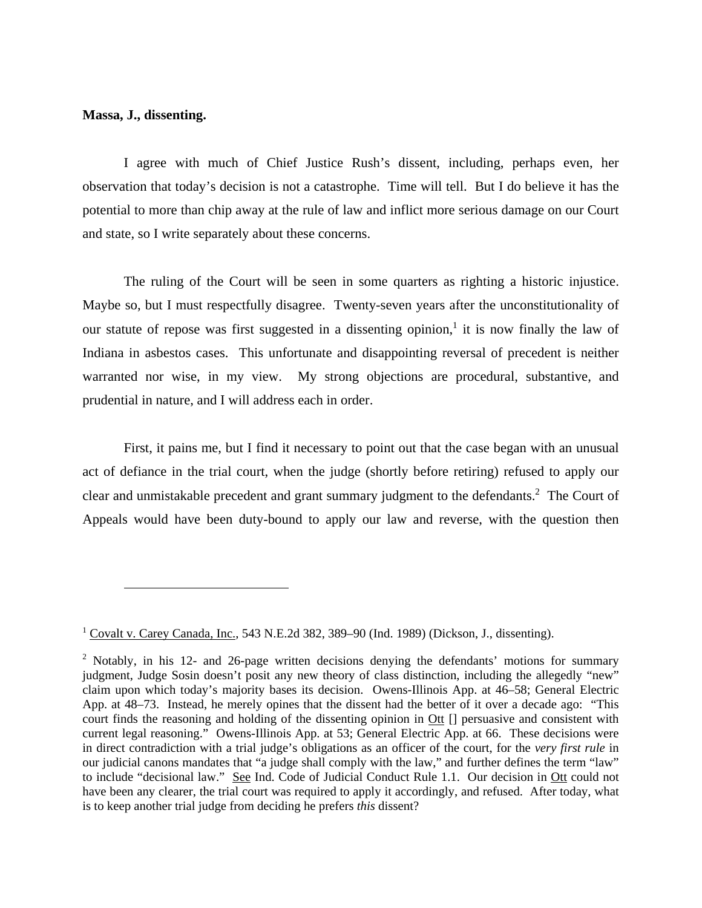#### **Massa, J., dissenting.**

 $\overline{a}$ 

I agree with much of Chief Justice Rush's dissent, including, perhaps even, her observation that today's decision is not a catastrophe. Time will tell. But I do believe it has the potential to more than chip away at the rule of law and inflict more serious damage on our Court and state, so I write separately about these concerns.

The ruling of the Court will be seen in some quarters as righting a historic injustice. Maybe so, but I must respectfully disagree. Twenty-seven years after the unconstitutionality of our statute of repose was first suggested in a dissenting opinion,<sup>1</sup> it is now finally the law of Indiana in asbestos cases. This unfortunate and disappointing reversal of precedent is neither warranted nor wise, in my view. My strong objections are procedural, substantive, and prudential in nature, and I will address each in order.

First, it pains me, but I find it necessary to point out that the case began with an unusual act of defiance in the trial court, when the judge (shortly before retiring) refused to apply our clear and unmistakable precedent and grant summary judgment to the defendants.<sup>2</sup> The Court of Appeals would have been duty-bound to apply our law and reverse, with the question then

<sup>&</sup>lt;sup>1</sup> Covalt v. Carey Canada, Inc., 543 N.E.2d 382, 389–90 (Ind. 1989) (Dickson, J., dissenting).

<sup>&</sup>lt;sup>2</sup> Notably, in his 12- and 26-page written decisions denying the defendants' motions for summary judgment, Judge Sosin doesn't posit any new theory of class distinction, including the allegedly "new" claim upon which today's majority bases its decision. Owens-Illinois App. at 46–58; General Electric App. at 48–73. Instead, he merely opines that the dissent had the better of it over a decade ago: "This court finds the reasoning and holding of the dissenting opinion in Ott [] persuasive and consistent with current legal reasoning." Owens-Illinois App. at 53; General Electric App. at 66. These decisions were in direct contradiction with a trial judge's obligations as an officer of the court, for the *very first rule* in our judicial canons mandates that "a judge shall comply with the law," and further defines the term "law" to include "decisional law." See Ind. Code of Judicial Conduct Rule 1.1. Our decision in Ott could not have been any clearer, the trial court was required to apply it accordingly, and refused. After today, what is to keep another trial judge from deciding he prefers *this* dissent?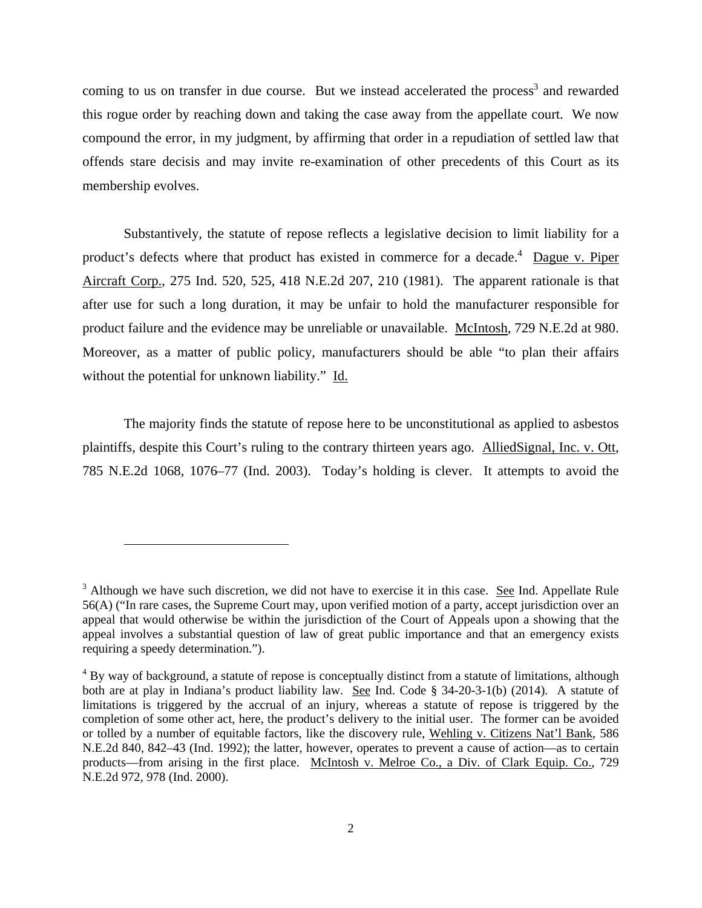coming to us on transfer in due course. But we instead accelerated the process<sup>3</sup> and rewarded this rogue order by reaching down and taking the case away from the appellate court. We now compound the error, in my judgment, by affirming that order in a repudiation of settled law that offends stare decisis and may invite re-examination of other precedents of this Court as its membership evolves.

Substantively, the statute of repose reflects a legislative decision to limit liability for a product's defects where that product has existed in commerce for a decade.<sup>4</sup> Dague v. Piper Aircraft Corp., 275 Ind. 520, 525, 418 N.E.2d 207, 210 (1981). The apparent rationale is that after use for such a long duration, it may be unfair to hold the manufacturer responsible for product failure and the evidence may be unreliable or unavailable. McIntosh, 729 N.E.2d at 980. Moreover, as a matter of public policy, manufacturers should be able "to plan their affairs without the potential for unknown liability." Id.

The majority finds the statute of repose here to be unconstitutional as applied to asbestos plaintiffs, despite this Court's ruling to the contrary thirteen years ago. AlliedSignal, Inc. v. Ott, 785 N.E.2d 1068, 1076–77 (Ind. 2003). Today's holding is clever. It attempts to avoid the

<sup>&</sup>lt;sup>3</sup> Although we have such discretion, we did not have to exercise it in this case. See Ind. Appellate Rule 56(A) ("In rare cases, the Supreme Court may, upon verified motion of a party, accept jurisdiction over an appeal that would otherwise be within the jurisdiction of the Court of Appeals upon a showing that the appeal involves a substantial question of law of great public importance and that an emergency exists requiring a speedy determination.").

<sup>&</sup>lt;sup>4</sup> By way of background, a statute of repose is conceptually distinct from a statute of limitations, although both are at play in Indiana's product liability law. See Ind. Code § 34-20-3-1(b) (2014). A statute of limitations is triggered by the accrual of an injury, whereas a statute of repose is triggered by the completion of some other act, here, the product's delivery to the initial user. The former can be avoided or tolled by a number of equitable factors, like the discovery rule, Wehling v. Citizens Nat'l Bank, 586 N.E.2d 840, 842–43 (Ind. 1992); the latter, however, operates to prevent a cause of action—as to certain products—from arising in the first place. McIntosh v. Melroe Co., a Div. of Clark Equip. Co., 729 N.E.2d 972, 978 (Ind. 2000).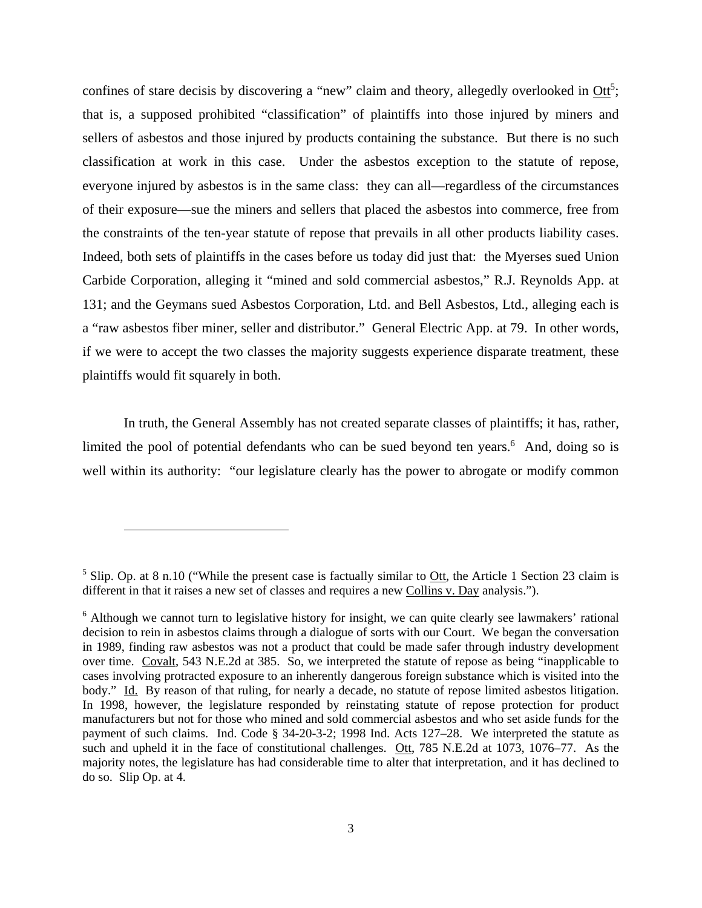confines of stare decisis by discovering a "new" claim and theory, allegedly overlooked in  $\text{Ott}^5$ ; that is, a supposed prohibited "classification" of plaintiffs into those injured by miners and sellers of asbestos and those injured by products containing the substance. But there is no such classification at work in this case. Under the asbestos exception to the statute of repose, everyone injured by asbestos is in the same class: they can all—regardless of the circumstances of their exposure—sue the miners and sellers that placed the asbestos into commerce, free from the constraints of the ten-year statute of repose that prevails in all other products liability cases. Indeed, both sets of plaintiffs in the cases before us today did just that: the Myerses sued Union Carbide Corporation, alleging it "mined and sold commercial asbestos," R.J. Reynolds App. at 131; and the Geymans sued Asbestos Corporation, Ltd. and Bell Asbestos, Ltd., alleging each is a "raw asbestos fiber miner, seller and distributor." General Electric App. at 79. In other words, if we were to accept the two classes the majority suggests experience disparate treatment, these plaintiffs would fit squarely in both.

In truth, the General Assembly has not created separate classes of plaintiffs; it has, rather, limited the pool of potential defendants who can be sued beyond ten years.<sup>6</sup> And, doing so is well within its authority: "our legislature clearly has the power to abrogate or modify common

<sup>&</sup>lt;sup>5</sup> Slip. Op. at 8 n.10 ("While the present case is factually similar to  $Qtt$ , the Article 1 Section 23 claim is different in that it raises a new set of classes and requires a new Collins v. Day analysis.").

<sup>&</sup>lt;sup>6</sup> Although we cannot turn to legislative history for insight, we can quite clearly see lawmakers' rational decision to rein in asbestos claims through a dialogue of sorts with our Court. We began the conversation in 1989, finding raw asbestos was not a product that could be made safer through industry development over time. Covalt, 543 N.E.2d at 385. So, we interpreted the statute of repose as being "inapplicable to cases involving protracted exposure to an inherently dangerous foreign substance which is visited into the body." Id. By reason of that ruling, for nearly a decade, no statute of repose limited asbestos litigation. In 1998, however, the legislature responded by reinstating statute of repose protection for product manufacturers but not for those who mined and sold commercial asbestos and who set aside funds for the payment of such claims. Ind. Code § 34-20-3-2; 1998 Ind. Acts 127–28. We interpreted the statute as such and upheld it in the face of constitutional challenges. Ott, 785 N.E.2d at 1073, 1076–77. As the majority notes, the legislature has had considerable time to alter that interpretation, and it has declined to do so. Slip Op. at 4.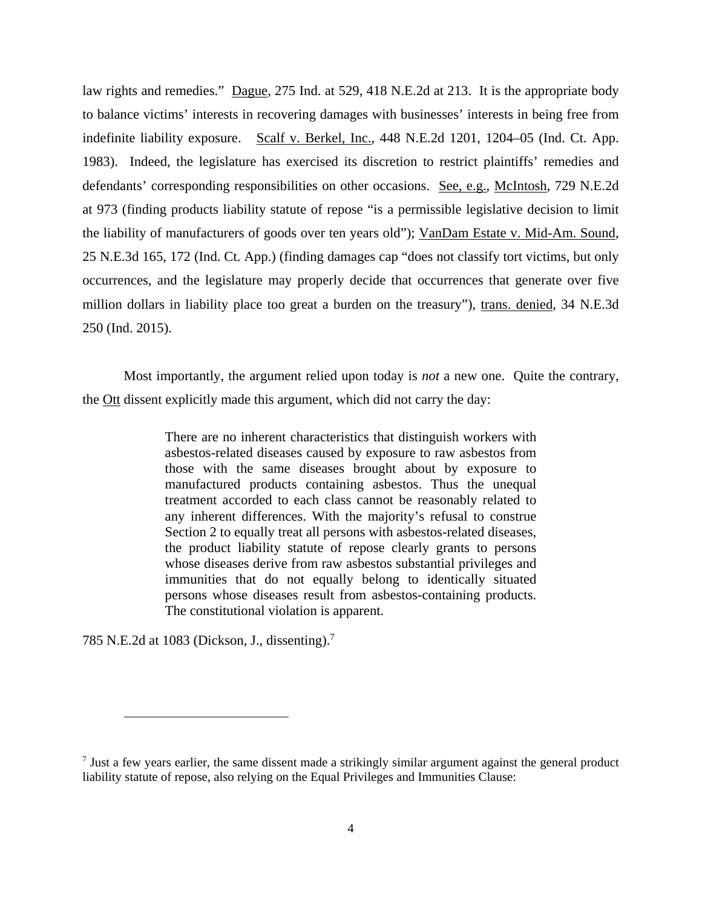law rights and remedies." Dague, 275 Ind. at 529, 418 N.E.2d at 213. It is the appropriate body to balance victims' interests in recovering damages with businesses' interests in being free from indefinite liability exposure. Scalf v. Berkel, Inc., 448 N.E.2d 1201, 1204–05 (Ind. Ct. App. 1983). Indeed, the legislature has exercised its discretion to restrict plaintiffs' remedies and defendants' corresponding responsibilities on other occasions. See, e.g., McIntosh, 729 N.E.2d at 973 (finding products liability statute of repose "is a permissible legislative decision to limit the liability of manufacturers of goods over ten years old"); VanDam Estate v. Mid-Am. Sound, 25 N.E.3d 165, 172 (Ind. Ct. App.) (finding damages cap "does not classify tort victims, but only occurrences, and the legislature may properly decide that occurrences that generate over five million dollars in liability place too great a burden on the treasury"), trans. denied, 34 N.E.3d 250 (Ind. 2015).

Most importantly, the argument relied upon today is *not* a new one. Quite the contrary, the Ott dissent explicitly made this argument, which did not carry the day:

> There are no inherent characteristics that distinguish workers with asbestos-related diseases caused by exposure to raw asbestos from those with the same diseases brought about by exposure to manufactured products containing asbestos. Thus the unequal treatment accorded to each class cannot be reasonably related to any inherent differences. With the majority's refusal to construe Section 2 to equally treat all persons with asbestos-related diseases, the product liability statute of repose clearly grants to persons whose diseases derive from raw asbestos substantial privileges and immunities that do not equally belong to identically situated persons whose diseases result from asbestos-containing products. The constitutional violation is apparent.

785 N.E.2d at 1083 (Dickson, J., dissenting). $^7$ 

 $<sup>7</sup>$  Just a few years earlier, the same dissent made a strikingly similar argument against the general product</sup> liability statute of repose, also relying on the Equal Privileges and Immunities Clause: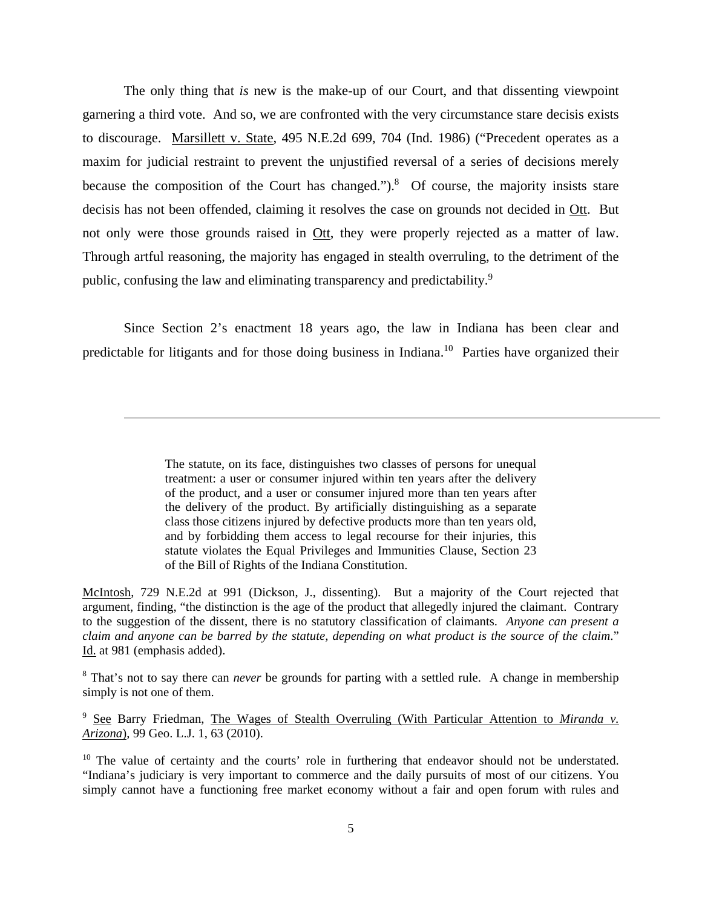The only thing that *is* new is the make-up of our Court, and that dissenting viewpoint garnering a third vote. And so, we are confronted with the very circumstance stare decisis exists to discourage. Marsillett v. State, 495 N.E.2d 699, 704 (Ind. 1986) ("Precedent operates as a maxim for judicial restraint to prevent the unjustified reversal of a series of decisions merely because the composition of the Court has changed."). $8$  Of course, the majority insists stare decisis has not been offended, claiming it resolves the case on grounds not decided in Ott. But not only were those grounds raised in Ott, they were properly rejected as a matter of law. Through artful reasoning, the majority has engaged in stealth overruling, to the detriment of the public, confusing the law and eliminating transparency and predictability.9

Since Section 2's enactment 18 years ago, the law in Indiana has been clear and predictable for litigants and for those doing business in Indiana.<sup>10</sup> Parties have organized their

 $\overline{a}$ 

McIntosh, 729 N.E.2d at 991 (Dickson, J., dissenting). But a majority of the Court rejected that argument, finding, "the distinction is the age of the product that allegedly injured the claimant. Contrary to the suggestion of the dissent, there is no statutory classification of claimants. *Anyone can present a claim and anyone can be barred by the statute, depending on what product is the source of the claim*." Id. at 981 (emphasis added).

<sup>8</sup> That's not to say there can *never* be grounds for parting with a settled rule. A change in membership simply is not one of them.

9 See Barry Friedman, The Wages of Stealth Overruling (With Particular Attention to *Miranda v. Arizona*), 99 Geo. L.J. 1, 63 (2010).

<sup>10</sup> The value of certainty and the courts' role in furthering that endeavor should not be understated. "Indiana's judiciary is very important to commerce and the daily pursuits of most of our citizens. You simply cannot have a functioning free market economy without a fair and open forum with rules and

The statute, on its face, distinguishes two classes of persons for unequal treatment: a user or consumer injured within ten years after the delivery of the product, and a user or consumer injured more than ten years after the delivery of the product. By artificially distinguishing as a separate class those citizens injured by defective products more than ten years old, and by forbidding them access to legal recourse for their injuries, this statute violates the Equal Privileges and Immunities Clause, Section 23 of the Bill of Rights of the Indiana Constitution.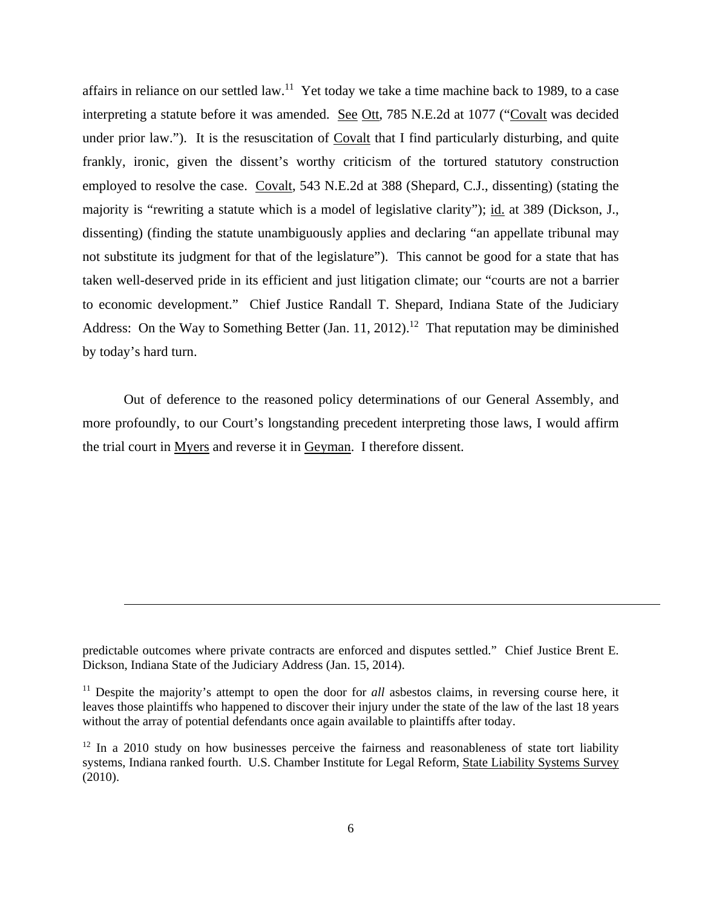affairs in reliance on our settled law.<sup>11</sup> Yet today we take a time machine back to 1989, to a case interpreting a statute before it was amended. See Ott, 785 N.E.2d at 1077 ("Covalt was decided under prior law."). It is the resuscitation of Covalt that I find particularly disturbing, and quite frankly, ironic, given the dissent's worthy criticism of the tortured statutory construction employed to resolve the case. Covalt, 543 N.E.2d at 388 (Shepard, C.J., dissenting) (stating the majority is "rewriting a statute which is a model of legislative clarity"); id. at 389 (Dickson, J., dissenting) (finding the statute unambiguously applies and declaring "an appellate tribunal may not substitute its judgment for that of the legislature"). This cannot be good for a state that has taken well-deserved pride in its efficient and just litigation climate; our "courts are not a barrier to economic development." Chief Justice Randall T. Shepard, Indiana State of the Judiciary Address: On the Way to Something Better (Jan. 11, 2012).<sup>12</sup> That reputation may be diminished by today's hard turn.

Out of deference to the reasoned policy determinations of our General Assembly, and more profoundly, to our Court's longstanding precedent interpreting those laws, I would affirm the trial court in Myers and reverse it in Geyman. I therefore dissent.

predictable outcomes where private contracts are enforced and disputes settled." Chief Justice Brent E. Dickson, Indiana State of the Judiciary Address (Jan. 15, 2014).

<sup>&</sup>lt;sup>11</sup> Despite the majority's attempt to open the door for *all* asbestos claims, in reversing course here, it leaves those plaintiffs who happened to discover their injury under the state of the law of the last 18 years without the array of potential defendants once again available to plaintiffs after today.

 $12$  In a 2010 study on how businesses perceive the fairness and reasonableness of state tort liability systems, Indiana ranked fourth. U.S. Chamber Institute for Legal Reform, State Liability Systems Survey (2010).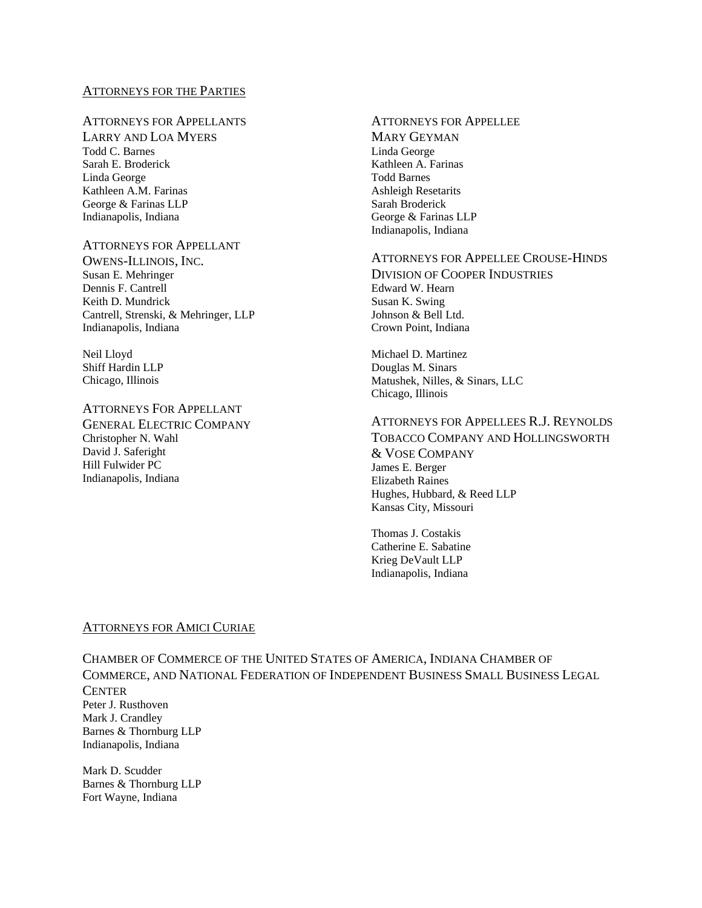#### ATTORNEYS FOR THE PARTIES

# ATTORNEYS FOR APPELLANTS

LARRY AND LOA MYERS Todd C. Barnes Sarah E. Broderick Linda George Kathleen A.M. Farinas George & Farinas LLP Indianapolis, Indiana

# ATTORNEYS FOR APPELLANT

OWENS-ILLINOIS, INC. Susan E. Mehringer Dennis F. Cantrell Keith D. Mundrick Cantrell, Strenski, & Mehringer, LLP Indianapolis, Indiana

Neil Lloyd Shiff Hardin LLP Chicago, Illinois

#### ATTORNEYS FOR APPELLANT

GENERAL ELECTRIC COMPANY Christopher N. Wahl David J. Saferight Hill Fulwider PC Indianapolis, Indiana

# ATTORNEYS FOR APPELLEE

MARY GEYMAN Linda George Kathleen A. Farinas Todd Barnes Ashleigh Resetarits Sarah Broderick George & Farinas LLP Indianapolis, Indiana

#### ATTORNEYS FOR APPELLEE CROUSE-HINDS

DIVISION OF COOPER INDUSTRIES Edward W. Hearn Susan K. Swing Johnson & Bell Ltd. Crown Point, Indiana

Michael D. Martinez Douglas M. Sinars<br>Matushek, Nilles, & Sinars, LLC Chicago, Illinois

#### ATTORNEYS FOR APPELLEES R.J. REYNOLDS TOBACCO COMPANY AND HOLLINGSWORTH & VOSE COMPANY James E. Berger Elizabeth Raines Hughes, Hubbard, & Reed LLP Kansas City, Missouri

Thomas J. Costakis Catherine E. Sabatine Krieg DeVault LLP Indianapolis, Indiana

# ATTORNEYS FOR AMICI CURIAE

CHAMBER OF COMMERCE OF THE UNITED STATES OF AMERICA, INDIANA CHAMBER OF COMMERCE, AND NATIONAL FEDERATION OF INDEPENDENT BUSINESS SMALL BUSINESS LEGAL **CENTER** Peter J. Rusthoven Mark J. Crandley Barnes & Thornburg LLP Indianapolis, Indiana

Mark D. Scudder Barnes & Thornburg LLP Fort Wayne, Indiana